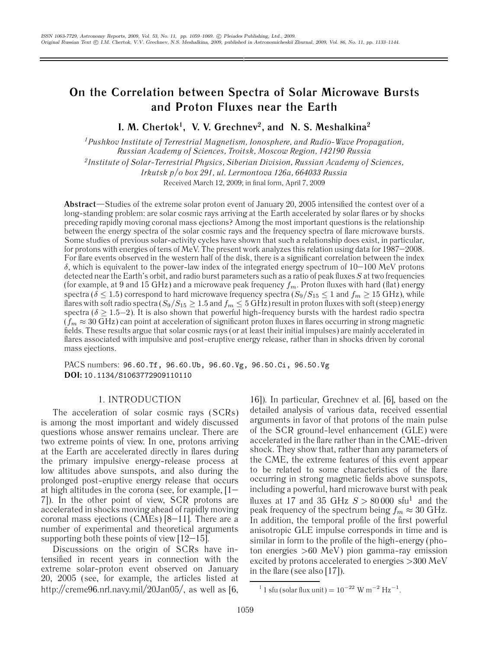# **On the Correlation between Spectra of Solar Microwave Bursts and Proton Fluxes near the Earth**

**I. M. Chertok1, V. V. Grechnev2, and N. S. Meshalkina2**

*1Pushkov Institute of Terrestrial Magnetism, Ionosphere, and Radio-Wave Propagation, Russian Academy of Sciences, Troitsk, Moscow Region, 142190 Russia*

*2Institute of Solar-Terrestrial Physics, Siberian Division, Russian Academy of Sciences,*

*Irkutsk p/o box 291, ul. Lermontova 126a, 664033 Russia*

Received March 12, 2009; in final form, April 7, 2009

**Abstract**—Studies of the extreme solar proton event of January 20, 2005 intensified the contest over of a long-standing problem: are solar cosmic rays arriving at the Earth accelerated by solar flares or by shocks preceding rapidly moving coronal mass ejections? Among the most important questions is the relationship between the energy spectra of the solar cosmic rays and the frequency spectra of flare microwave bursts. Some studies of previous solar-activity cycles have shown that such a relationship does exist, in particular, for protons with energies of tens of MeV. The present work analyzes this relation using data for 1987–2008. For flare events observed in the western half of the disk, there is a significant correlation between the index δ, which is equivalent to the power-law index of the integrated energy spectrum of 10–100 MeV protons detected near the Earth's orbit, and radio burst parameters such as a ratio of peak fluxes  $S$  at two frequencies (for example, at 9 and 15 GHz) and a microwave peak frequency  $f_m$ . Proton fluxes with hard (flat) energy spectra ( $\delta \leq 1.5$ ) correspond to hard microwave frequency spectra ( $S_9/S_{15} \leq 1$  and  $f_m \geq 15$  GHz), while flares with soft radio spectra ( $S_9/S_{15} \geq 1.5$  and  $f_m \leq 5$  GHz) result in proton fluxes with soft (steep) energy spectra ( $\delta \geq 1.5-2$ ). It is also shown that powerful high-frequency bursts with the hardest radio spectra  $(f_m \approx 30 \text{ GHz})$  can point at acceleration of significant proton fluxes in flares occurring in strong magnetic fields. These results argue that solar cosmic rays (or at least their initial impulses) are mainly accelerated in flares associated with impulsive and post-eruptive energy release, rather than in shocks driven by coronal mass ejections.

PACS numbers: 96.60.Tf, 96.60.Ub, 96.60.Vg, 96.50.Ci, 96.50.Vg **DOI:** 10.1134/S1063772909110110

## 1. INTRODUCTION

The acceleration of solar cosmic rays (SCRs) is among the most important and widely discussed questions whose answer remains unclear. There are two extreme points of view. In one, protons arriving at the Earth are accelerated directly in flares during the primary impulsive energy-release process at low altitudes above sunspots, and also during the prolonged post-eruptive energy release that occurs at high altitudes in the corona (see, for example, [1– 7]). In the other point of view, SCR protons are accelerated in shocks moving ahead of rapidly moving coronal mass ejections (CMEs) [8–11]. There are a number of experimental and theoretical arguments supporting both these points of view  $[12-15]$ .

Discussions on the origin of SCRs have intensified in recent years in connection with the extreme solar-proton event observed on January 20, 2005 (see, for example, the articles listed at http://creme96.nrl.navy.mil/20Jan05/, as well as [6,

16]). In particular, Grechnev et al. [6], based on the detailed analysis of various data, received essential arguments in favor of that protons of the main pulse of the SCR ground-level enhancement (GLE) were accelerated in the flare rather than in the CME-driven shock. They show that, rather than any parameters of the CME, the extreme features of this event appear to be related to some characteristics of the flare occurring in strong magnetic fields above sunspots, including a powerful, hard microwave burst with peak fluxes at 17 and 35 GHz  $S > 80000 \text{ s}$ fu<sup>1</sup> and the peak frequency of the spectrum being  $f_m \approx 30$  GHz. In addition, the temporal profile of the first powerful anisotropic GLE impulse corresponds in time and is similar in form to the profile of the high-energy (photon energies >60 MeV) pion gamma-ray emission excited by protons accelerated to energies >300 MeV in the flare (see also [17]).

<sup>&</sup>lt;sup>1</sup> 1 sfu (solar flux unit) =  $10^{-22}$  W m<sup>-2</sup> Hz<sup>-1</sup>.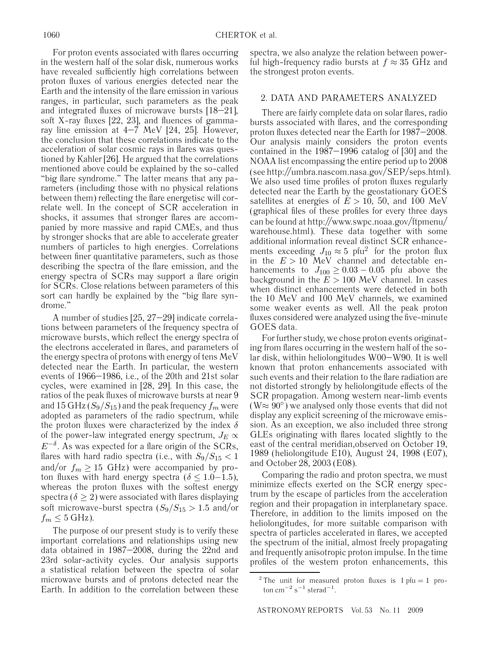For proton events associated with flares occurring in the western half of the solar disk, numerous works have revealed sufficiently high correlations between proton fluxes of various energies detected near the Earth and the intensity of the flare emission in various ranges, in particular, such parameters as the peak and integrated fluxes of microwave bursts [18–21], soft X-ray fluxes [22, 23], and fluences of gammaray line emission at 4–7 MeV [24, 25]. However, the conclusion that these correlations indicate to the acceleration of solar cosmic rays in flares was questioned by Kahler [26]. He argued that the correlations mentioned above could be explained by the so-called "big flare syndrome." The latter means that any parameters (including those with no physical relations between them) reflecting the flare energetisc will correlate well. In the concept of SCR acceleration in shocks, it assumes that stronger flares are accompanied by more massive and rapid CMEs, and thus by stronger shocks that are able to accelerate greater numbers of particles to high energies. Correlations between finer quantitative parameters, such as those describing the spectra of the flare emission, and the energy spectra of SCRs may support a flare origin for SCRs. Close relations between parameters of this sort can hardly be explained by the "big flare syndrome."

A number of studies [25, 27–29] indicate correlations between parameters of the frequency spectra of microwave bursts, which reflect the energy spectra of the electrons accelerated in flares, and parameters of the energy spectra of protons with energy of tens MeV detected near the Earth. In particular, the western events of 1966–1986, i.e., of the 20th and 21st solar cycles, were examined in [28, 29]. In this case, the ratios of the peak fluxes of microwave bursts at near 9 and 15 GHz ( $S_9/S_{15}$ ) and the peak frequency  $f_m$  were adopted as parameters of the radio spectrum, while the proton fluxes were characterized by the index  $\delta$ of the power-law integrated energy spectrum,  $J_E \propto$  $E^{-\delta}$ . As was expected for a flare origin of the SCRs, flares with hard radio spectra (i.e., with  $S_9/S_{15} < 1$ and/or  $f_m \geq 15$  GHz) were accompanied by proton fluxes with hard energy spectra ( $\delta \leq 1.0-1.5$ ), whereas the proton fluxes with the softest energy spectra ( $\delta \geq 2$ ) were associated with flares displaying soft microwave-burst spectra  $(S_9/S_{15} > 1.5$  and/or  $f_m \leq 5$  GHz).

The purpose of our present study is to verify these important correlations and relationships using new data obtained in 1987–2008, during the 22nd and 23rd solar-activity cycles. Our analysis supports a statistical relation between the spectra of solar microwave bursts and of protons detected near the Earth. In addition to the correlation between these spectra, we also analyze the relation between powerful high-frequency radio bursts at  $f \approx 35$  GHz and the strongest proton events.

## 2. DATA AND PARAMETERS ANALYZED

There are fairly complete data on solar flares, radio bursts associated with flares, and the corresponding proton fluxes detected near the Earth for 1987–2008. Our analysis mainly considers the proton events contained in the 1987–1996 catalog of [30] and the NOAA list encompassing the entire period up to 2008 (see http://umbra.nascom.nasa.gov/SEP/seps.html). We also used time profiles of proton fluxes regularly detected near the Earth by the geostationary GOES satellites at energies of  $E > 10$ , 50, and 100 MeV (graphical files of these profiles for every three days can be found at http://www.swpc.noaa.gov/ftpmenu/ warehouse.html). These data together with some additional information reveal distinct SCR enhancements exceeding  $J_{10} \approx 5$  pfu<sup>2</sup> for the proton flux in the  $E > 10$  MeV channel and detectable enhancements to  $J_{100} \geq 0.03 - 0.05$  pfu above the background in the  $E > 100$  MeV channel. In cases when distinct enhancements were detected in both the 10 MeV and 100 MeV channels, we examined some weaker events as well. All the peak proton fluxes considered were analyzed using the five-minute GOES data.

For further study, we chose proton events originating from flares occurring in the western half of the solar disk, within heliolongitudes W00–W90. It is well known that proton enhancements associated with such events and their relation to the flare radiation are not distorted strongly by heliolongitude effects of the SCR propagation. Among western near-limb events  $(W \approx 90^{\circ})$  we analysed only those events that did not display any explicit screening of the microwave emission. As an exception, we also included three strong GLEs originating with flares located slightly to the east of the central meridian,observed on October 19, 1989 (heliolongitude Е10), August 24, 1998 (Е07), and October 28, 2003 (Е08).

Comparing the radio and proton spectra, we must minimize effects exerted on the SCR energy spectrum by the escape of particles from the acceleration region and their propagation in interplanetary space. Therefore, in addition to the limits imposed on the heliolongitudes, for more suitable comparison with spectra of particles accelerated in flares, we accepted the spectrum of the initial, almost freely propagating and frequently anisotropic proton impulse. In the time profiles of the western proton enhancements, this

<sup>&</sup>lt;sup>2</sup> The unit for measured proton fluxes is  $1 \text{ pfu} = 1 \text{ pro}$ ton cm<sup> $-2$ </sup> s<sup>−1</sup> sterad<sup>-1</sup>.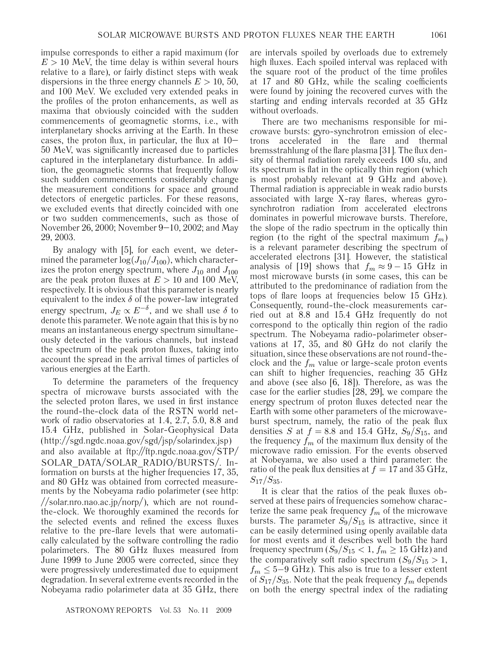impulse corresponds to either a rapid maximum (for  $E > 10$  MeV, the time delay is within several hours relative to a flare), or fairly distinct steps with weak dispersions in the three energy channels  $E > 10, 50$ , and 100 MeV. We excluded very extended peaks in the profiles of the proton enhancements, as well as maxima that obviously coincided with the sudden commencements of geomagnetic storms, i.e., with interplanetary shocks arriving at the Earth. In these cases, the proton flux, in particular, the flux at  $10-$ 50 MeV, was significantly increased due to particles captured in the interplanetary disturbance. In addition, the geomagnetic storms that frequently follow such sudden commencements considerably change the measurement conditions for space and ground detectors of energetic particles. For these reasons, we excluded events that directly coincided with one or two sudden commencements, such as those of November 26, 2000; November 9–10, 2002; and May 29, 2003.

By analogy with [5], for each event, we determined the parameter  $\log(J_{10}/J_{100})$ , which characterizes the proton energy spectrum, where  $J_{10}$  and  $J_{100}$ are the peak proton fluxes at  $E > 10$  and 100 MeV, respectively. It is obvious that this parameter is nearly equivalent to the index  $\delta$  of the power-law integrated energy spectrum,  $J_E \propto E^{-\delta}$ , and we shall use  $\delta$  to denote this parameter. We note again that this is by no means an instantaneous energy spectrum simultaneously detected in the various channels, but instead the spectrum of the peak proton fluxes, taking into account the spread in the arrival times of particles of various energies at the Earth.

To determine the parameters of the frequency spectra of microwave bursts associated with the the selected proton flares, we used in first instance the round-the-clock data of the RSTN world network of radio observatories at 1.4, 2.7, 5.0, 8.8 and 15.4 GHz, published in Solar-Geophysical Data (http://sgd.ngdc.noaa.gov/sgd/jsp/solarindex.jsp) and also available at ftp://ftp.ngdc.noaa.gov/STP/ SOLAR\_DATA/SOLAR\_RADIO/BURSTS/. Information on bursts at the higher frequencies 17, 35, and 80 GHz was obtained from corrected measurements by the Nobeyama radio polarimeter (see http: //solar.nro.nao.ac.jp/norp/), which are not roundthe-clock. We thoroughly examined the records for the selected events and refined the excess fluxes relative to the pre-flare levels that were automatically calculated by the software controlling the radio polarimeters. The 80 GHz fluxes measured from June 1999 to June 2005 were corrected, since they were progressively underestimated due to equipment degradation. In several extreme events recorded in the Nobeyama radio polarimeter data at 35 GHz, there are intervals spoiled by overloads due to extremely high fluxes. Each spoiled interval was replaced with the square root of the product of the time profiles at 17 and 80 GHz, while the scaling coefficients were found by joining the recovered curves with the starting and ending intervals recorded at 35 GHz without overloads.

There are two mechanisms responsible for microwave bursts: gyro-synchrotron emission of electrons accelerated in the flare and thermal bremsstrahlung of the flare plasma [31]. The flux density of thermal radiation rarely exceeds 100 sfu, and its spectrum is flat in the optically thin region (which is most probably relevant at 9 GHz and above). Thermal radiation is appreciable in weak radio bursts associated with large X-ray flares, whereas gyrosynchrotron radiation from accelerated electrons dominates in powerful microwave bursts. Therefore, the slope of the radio spectrum in the optically thin region (to the right of the spectral maximum  $f_m$ ) is a relevant parameter describing the spectrum of accelerated electrons [31]. However, the statistical analysis of [19] shows that  $f_m \approx 9 - 15$  GHz in most microwave bursts (in some cases, this can be attributed to the predominance of radiation from the tops of flare loops at frequencies below 15 GHz). Consequently, round-the-clock measurements carried out at 8.8 and 15.4 GHz frequently do not correspond to the optically thin region of the radio spectrum. The Nobeyama radio-polarimeter observations at 17, 35, and 80 GHz do not clarify the situation, since these observations are not round-theclock and the  $f_m$  value or large-scale proton events can shift to higher frequencies, reaching 35 GHz and above (see also [6, 18]). Therefore, as was the case for the earlier studies [28, 29], we compare the energy spectrum of proton fluxes detected near the Earth with some other parameters of the microwaveburst spectrum, namely, the ratio of the peak flux densities S at  $f = 8.8$  and 15.4 GHz,  $S_9/S_{15}$ , and the frequency  $f_m$  of the maximum flux density of the microwave radio emission. For the events observed at Nobeyama, we also used a third parameter: the ratio of the peak flux densities at  $f = 17$  and 35 GHz,  $S_{17}/S_{35}$ .

It is clear that the ratios of the peak fluxes observed at these pairs of frequencies somehow characterize the same peak frequency  $f_m$  of the microwave bursts. The parameter  $S_9/S_{15}$  is attractive, since it can be easily determined using openly available data for most events and it describes well both the hard frequency spectrum  $(S_9/S_{15} < 1, f_m \ge 15 \text{ GHz})$  and the comparatively soft radio spectrum  $(S_9/S_{15} > 1,$  $f_m \leq 5-9$  GHz). This also is true to a lesser extent of  $S_{17}/S_{35}$ . Note that the peak frequency  $f_m$  depends on both the energy spectral index of the radiating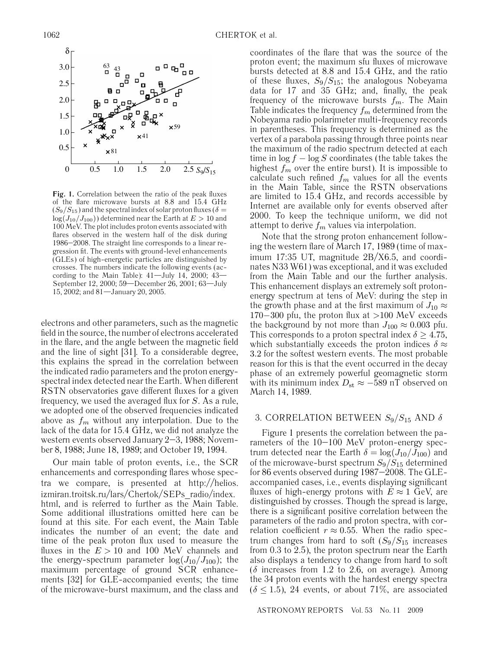

**Fig. 1.** Correlation between the ratio of the peak fluxes of the flare microwave bursts at 8.8 and 15.4 GHz  $(S_9/S_{15})$  and the spectral index of solar proton fluxes ( $\delta =$  $log(J_{10}/J_{100}))$  determined near the Earth at  $E > 10$  and 100 MeV. The plot includes proton events associated with flares observed in the western half of the disk during 1986–2008. The straight line corresponds to a linear regression fit. The events with ground-level enhancements (GLEs) of high-energetic particles are distinguished by crosses. The numbers indicate the following events (according to the Main Table):  $41 -$ July  $14$ , 2000;  $43 -$ September 12, 2000; 59—December 26, 2001; 63—July 15, 2002; and 81—January 20, 2005.

electrons and other parameters, such as the magnetic field in the source, the number of electrons accelerated in the flare, and the angle between the magnetic field and the line of sight [31]. To a considerable degree, this explains the spread in the correlation between the indicated radio parameters and the proton energyspectral index detected near the Earth. When different RSTN observatories gave different fluxes for a given frequency, we used the averaged flux for  $S$ . As a rule, we adopted one of the observed frequencies indicated above as  $f_m$  without any interpolation. Due to the lack of the data for 15.4 GHz, we did not analyze the western events observed January 2–3, 1988; November 8, 1988; June 18, 1989; and October 19, 1994.

Our main table of proton events, i.e., the SCR enhancements and corresponding flares whose spectra we compare, is presented at http://helios. izmiran.troitsk.ru/lars/Chertok/SEPs\_radio/index. html, and is referred to further as the Main Table. Some additional illustrations omitted here can be found at this site. For each event, the Main Table indicates the number of an event; the date and time of the peak proton flux used to measure the fluxes in the  $E > 10$  and 100 MeV channels and the energy-spectrum parameter  $log(J_{10}/J_{100})$ ; the maximum percentage of ground SCR enhancements [32] for GLE-accompanied events; the time of the microwave-burst maximum, and the class and coordinates of the flare that was the source of the proton event; the maximum sfu fluxes of microwave bursts detected at 8.8 and 15.4 GHz, and the ratio of these fluxes,  $S_9/S_{15}$ ; the analogous Nobeyama data for 17 and 35 GHz; and, finally, the peak frequency of the microwave bursts  $f_m$ . The Main Table indicates the frequency  $f_m$  determined from the Nobeyama radio polarimeter multi-frequency records in parentheses. This frequency is determined as the vertex of a parabola passing through three points near the maximum of the radio spectrum detected at each time in  $\log f - \log S$  coordinates (the table takes the highest  $f_m$  over the entire burst). It is impossible to calculate such refined  $f_m$  values for all the events in the Main Table, since the RSTN observations are limited to 15.4 GHz, and records accessible by Internet are available only for events observed after 2000. To keep the technique uniform, we did not attempt to derive  $f_m$  values via interpolation.

Note that the strong proton enhancement following the western flare of March 17, 1989 (time of maximum 17:35 UT, magnitude 2В/Х6.5, and coordinates N33 W61) was exceptional, and it was excluded from the Main Table and our the further analysis. This enhancement displays an extremely soft protonenergy spectrum at tens of MeV: during the step in the growth phase and at the first maximum of  $J_{10} \approx$ 170−300 pfu, the proton flux at >100 MeV exceeds the background by not more than  $J_{100} \approx 0.003$  pfu. This corresponds to a proton spectral index  $\delta \geq 4.75$ , which substantially exceeds the proton indices  $\delta \approx$ 3.2 for the softest western events. The most probable reason for this is that the event occurred in the decay phase of an extremely powerful geomagnetic storm with its minimum index  $D_{\rm st} \approx -589$  nT observed on March 14, 1989.

## 3. CORRELATION BETWEEN  $S_9/S_{15}$  AND  $\delta$

Figure 1 presents the correlation between the parameters of the 10–100 MeV proton-energy spectrum detected near the Earth  $\delta = \log(J_{10}/J_{100})$  and of the microwave-burst spectrum  $S_9/S_{15}$  determined for 86 events observed during 1987–2008. The GLEaccompanied cases, i.e., events displaying significant fluxes of high-energy protons with  $E \approx 1$  GeV, are distinguished by crosses. Though the spread is large, there is a significant positive correlation between the parameters of the radio and proton spectra, with correlation coefficient  $r \approx 0.55$ . When the radio spectrum changes from hard to soft  $(S_9/S_{15}$  increases from 0.3 to 2.5), the proton spectrum near the Earth also displays a tendency to change from hard to soft ( $\delta$  increases from 1.2 to 2.6, on average). Among the 34 proton events with the hardest energy spectra  $(\delta \leq 1.5)$ , 24 events, or about 71%, are associated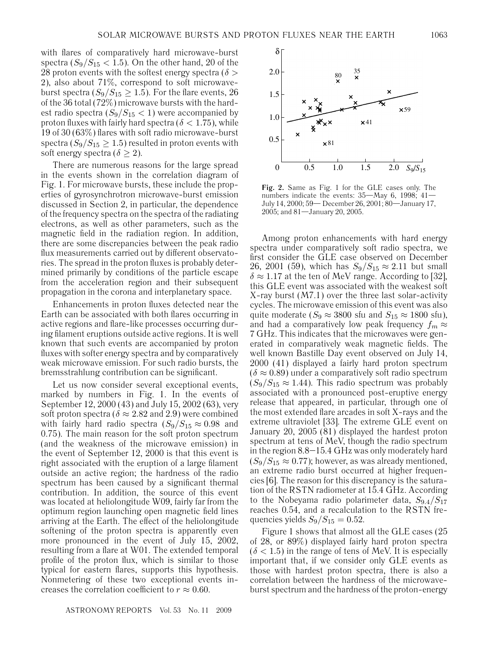with flares of comparatively hard microwave-burst spectra  $(S_9/S_{15} < 1.5)$ . On the other hand, 20 of the 28 proton events with the softest energy spectra ( $\delta$  > 2), also about 71%, correspond to soft microwaveburst spectra ( $S_9/S_{15} \ge 1.5$ ). For the flare events, 26 of the 36 total (72%) microwave bursts with the hardest radio spectra  $(S_9/S_{15} < 1)$  were accompanied by proton fluxes with fairly hard spectra ( $\delta$  < 1.75), while 19 of 30 (63%) flares with soft radio microwave-burst spectra  $(S_9/S_{15} \geq 1.5)$  resulted in proton events with soft energy spectra ( $\delta \geq 2$ ).

There are numerous reasons for the large spread in the events shown in the correlation diagram of Fig. 1. For microwave bursts, these include the properties of gyrosynchrotron microwave-burst emission discussed in Section 2, in particular, the dependence of the frequency spectra on the spectra of the radiating electrons, as well as other parameters, such as the magnetic field in the radiation region. In addition, there are some discrepancies between the peak radio flux measurements carried out by different observatories. The spread in the proton fluxes is probably determined primarily by conditions of the particle escape from the acceleration region and their subsequent propagation in the corona and interplanetary space.

Enhancements in proton fluxes detected near the Earth can be associated with both flares occurring in active regions and flare-like processes occurring during filament eruptions outside active regions. It is well known that such events are accompanied by proton fluxes with softer energy spectra and by comparatively weak microwave emission. For such radio bursts, the bremsstrahlung contribution can be significant.

Let us now consider several exceptional events, marked by numbers in Fig. 1. In the events of September 12, 2000 (43) and July 15, 2002 (63), very soft proton spectra ( $\delta \approx 2.82$  and 2.9) were combined with fairly hard radio spectra  $(S_9/S_{15} \approx 0.98$  and 0.75). The main reason for the soft proton spectrum (and the weakness of the microwave emission) in the event of September 12, 2000 is that this event is right associated with the eruption of a large filament outside an active region; the hardness of the radio spectrum has been caused by a significant thermal contribution. In addition, the source of this event was located at heliolongitude W09, fairly far from the optimum region launching open magnetic field lines arriving at the Earth. The effect of the heliolongitude softening of the proton spectra is apparently even more pronounced in the event of July 15, 2002, resulting from a flare at W01. The extended temporal profile of the proton flux, which is similar to those typical for eastern flares, supports this hypothesis. Nonmetering of these two exceptional events increases the correlation coefficient to  $r \approx 0.60$ .



**Fig. 2.** Same as Fig. 1 for the GLE cases only. The numbers indicate the events:  $35 -$ May 6, 1998;  $41 -$ July 14, 2000; 59— December 26, 2001; 80—January 17, 2005; and 81—January 20, 2005.

Among proton enhancements with hard energy spectra under comparatively soft radio spectra, we first consider the GLE case observed on December 26, 2001 (59), which has  $S_9/S_{15} \approx 2.11$  but small  $\delta \approx 1.17$  at the ten of MeV range. According to [32], this GLE event was associated with the weakest soft X-ray burst (M7.1) over the three last solar-activity cycles. The microwave emission of this event was also quite moderate ( $S_9 \approx 3800$  sfu and  $S_{15} \approx 1800$  sfu), and had a comparatively low peak frequency  $f_m \approx$ 7 GHz. This indicates that the microwaves were generated in comparatively weak magnetic fields. The well known Bastille Day event observed on July 14, 2000 (41) displayed a fairly hard proton spectrum  $(\delta \approx 0.89)$  under a comparatively soft radio spectrum  $(S_9/S_{15} \approx 1.44)$ . This radio spectrum was probably associated with a pronounced post-eruptive energy release that appeared, in particular, through one of the most extended flare arcades in soft X-rays and the extreme ultraviolet [33]. The extreme GLE event on January 20, 2005 (81) displayed the hardest proton spectrum at tens of MeV, though the radio spectrum in the region 8.8–15.4 GHz was only moderately hard  $(S_9/S_{15} \approx 0.77)$ ; however, as was already mentioned, an extreme radio burst occurred at higher frequencies [6]. The reason for this discrepancy is the saturation of the RSTN radiometer at 15.4 GHz. According to the Nobeyama radio polarimeter data,  $S_{9.4}/S_{17}$ reaches 0.54, and a recalculation to the RSTN frequencies yields  $S_9/S_{15} = 0.52$ .

Figure 1 shows that almost all the GLE cases (25 of 28, or 89%) displayed fairly hard proton spectra  $(\delta < 1.5)$  in the range of tens of MeV. It is especially important that, if we consider only GLE events as those with hardest proton spectra, there is also a correlation between the hardness of the microwaveburst spectrum and the hardness of the proton-energy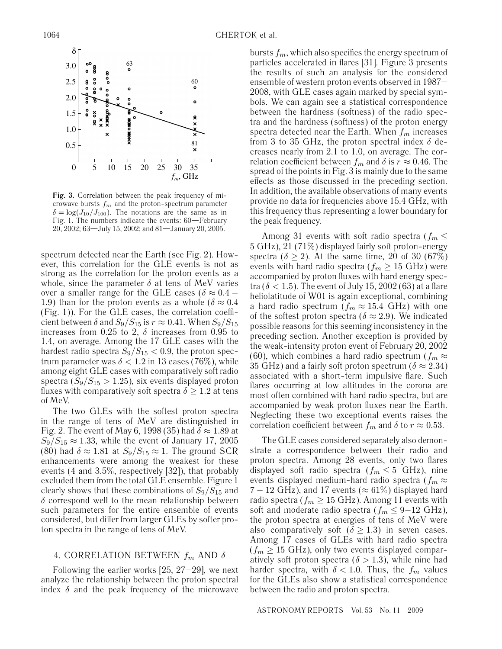

**Fig. 3.** Correlation between the peak frequency of microwave bursts  $f_m$  and the proton-spectrum parameter  $\delta = \log(J_{10}/J_{100})$ . The notations are the same as in Fig. 1. The numbers indicate the events: 60—February 20, 2002; 63—July 15, 2002; and 81—January 20, 2005.

spectrum detected near the Earth (see Fig. 2). However, this correlation for the GLE events is not as strong as the correlation for the proton events as a whole, since the parameter  $\delta$  at tens of MeV varies over a smaller range for the GLE cases ( $\delta \approx 0.4$  – 1.9) than for the proton events as a whole ( $\delta \approx 0.4$ ) (Fig. 1)). For the GLE cases, the correlation coefficient between  $\delta$  and  $S_9/S_{15}$  is  $r \approx 0.41$ . When  $S_9/S_{15}$ increases from 0.25 to 2,  $\delta$  increases from 0.95 to 1.4, on average. Among the 17 GLE cases with the hardest radio spectra  $S_9/S_{15} < 0.9$ , the proton spectrum parameter was  $\delta$  < 1.2 in 13 cases (76%), while among eight GLE cases with comparatively soft radio spectra  $(S_9/S_{15} > 1.25)$ , six events displayed proton fluxes with comparatively soft spectra  $\delta \geq 1.2$  at tens of MeV.

The two GLEs with the softest proton spectra in the range of tens of MeV are distinguished in Fig. 2. The event of May 6, 1998 (35) had  $\delta \approx 1.89$  at  $S_9/S_{15} \approx 1.33$ , while the event of January 17, 2005 (80) had  $\delta \approx 1.81$  at  $S_9/S_{15} \approx 1$ . The ground SCR enhancements were among the weakest for these events (4 and 3.5%, respectively [32]), that probably excluded them from the total GLE ensemble. Figure 1 clearly shows that these combinations of  $S_9/S_{15}$  and  $\delta$  correspond well to the mean relationship between such parameters for the entire ensemble of events considered, but differ from larger GLEs by softer proton spectra in the range of tens of MeV.

## 4. CORRELATION BETWEEN  $f_m$  AND  $\delta$

Following the earlier works  $[25, 27-29]$ , we next analyze the relationship between the proton spectral index  $\delta$  and the peak frequency of the microwave bursts  $f_m$ , which also specifies the energy spectrum of particles accelerated in flares [31]. Figure 3 presents the results of such an analysis for the considered ensemble of western proton events observed in 1987– 2008, with GLE cases again marked by special symbols. We can again see a statistical correspondence between the hardness (softness) of the radio spectra and the hardness (softness) of the proton energy spectra detected near the Earth. When  $f_m$  increases from 3 to 35 GHz, the proton spectral index  $\delta$  decreases nearly from 2.1 to 1.0, on average. The correlation coefficient between  $f_m$  and  $\delta$  is  $r \approx 0.46$ . The spread of the points in Fig. 3 is mainly due to the same effects as those discussed in the preceding section. In addition, the available observations of many events provide no data for frequencies above 15.4 GHz, with this frequency thus representing a lower boundary for the peak frequency.

Among 31 events with soft radio spectra ( $f_m \leq$ 5 GHz), 21 (71%) displayed fairly soft proton-energy spectra ( $\delta \geq 2$ ). At the same time, 20 of 30 (67%) events with hard radio spectra ( $f_m \geq 15$  GHz) were accompanied by proton fluxes with hard energy spectra ( $\delta$  < 1.5). The event of July 15, 2002 (63) at a flare heliolatitude of W01 is again exceptional, combining a hard radio spectrum  $(f_m \approx 15.4 \text{ GHz})$  with one of the softest proton spectra ( $\delta \approx 2.9$ ). We indicated possible reasons for this seeming inconsistency in the preceding section. Another exception is provided by the weak-intensity proton event of February 20, 2002 (60), which combines a hard radio spectrum ( $f_m \approx$ 35 GHz) and a fairly soft proton spectrum ( $\delta \approx 2.34$ ) associated with a short-term impulsive flare. Such flares occurring at low altitudes in the corona are most often combined with hard radio spectra, but are accompanied by weak proton fluxes near the Earth. Neglecting these two exceptional events raises the correlation coefficient between  $f_m$  and  $\delta$  to  $r \approx 0.53$ .

The GLE cases considered separately also demonstrate a correspondence between their radio and proton spectra. Among 28 events, only two flares displayed soft radio spectra ( $f_m \leq 5$  GHz), nine events displayed medium-hard radio spectra ( $f_m \approx$  $7 - 12$  GHz), and 17 events ( $\approx 61\%$ ) displayed hard radio spectra ( $f_m \geq 15$  GHz). Among 11 events with soft and moderate radio spectra ( $f_m \leq 9-12$  GHz), the proton spectra at energies of tens of MeV were also comparatively soft ( $\delta \geq 1.3$ ) in seven cases. Among 17 cases of GLEs with hard radio spectra  $(f_m \geq 15 \text{ GHz})$ , only two events displayed comparatively soft proton spectra ( $\delta > 1.3$ ), while nine had harder spectra, with  $\delta$  < 1.0. Thus, the  $f_m$  values for the GLEs also show a statistical correspondence between the radio and proton spectra.

ASTRONOMY REPORTS Vol. 53 No. 11 2009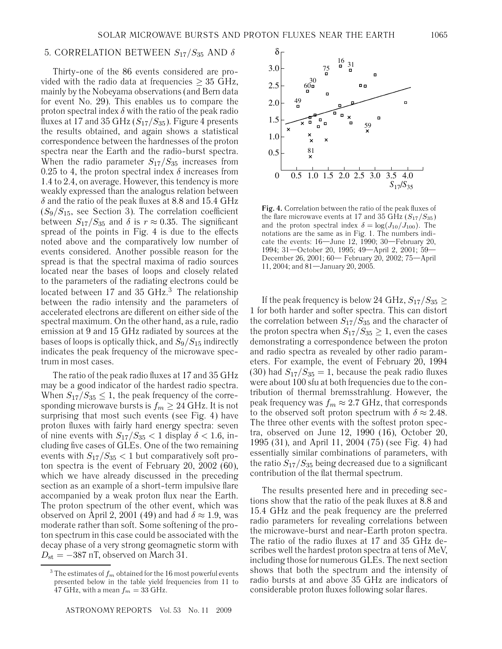## 5. CORRELATION BETWEEN  $S_{17}/S_{35}$  AND  $\delta$

Thirty-one of the 86 events considered are provided with the radio data at frequencies  $\geq$  35 GHz, mainly by the Nobeyama observations (and Bern data for event No. 29). This enables us to compare the proton spectral index  $\delta$  with the ratio of the peak radio fluxes at 17 and 35 GHz  $(S_{17}/S_{35})$ . Figure 4 presents the results obtained, and again shows a statistical correspondence between the hardnesses of the proton spectra near the Earth and the radio-burst spectra. When the radio parameter  $S_{17}/S_{35}$  increases from 0.25 to 4, the proton spectral index  $\delta$  increases from 1.4 to 2.4, on average. However, this tendency is more weakly expressed than the analogus relation between  $\delta$  and the ratio of the peak fluxes at 8.8 and 15.4 GHz  $(S_9/S_{15}$ , see Section 3). The correlation coefficient between  $S_{17}/S_{35}$  and  $\delta$  is  $r \approx 0.35$ . The significant spread of the points in Fig. 4 is due to the effects noted above and the comparatively low number of events considered. Another possible reason for the spread is that the spectral maxima of radio sources located near the bases of loops and closely related to the parameters of the radiating electrons could be located between 17 and 35  $GHz<sup>3</sup>$ . The relationship between the radio intensity and the parameters of accelerated electrons are different on either side of the spectral maximum. On the other hand, as a rule, radio emission at 9 and 15 GHz radiated by sources at the bases of loops is optically thick, and  $S_9/S_{15}$  indirectly indicates the peak frequency of the microwave spectrum in most cases.

The ratio of the peak radio fluxes at 17 and 35 GHz may be a good indicator of the hardest radio spectra. When  $S_{17}/S_{35} \leq 1$ , the peak frequency of the corresponding microwave bursts is  $f_m \geq 24$  GHz. It is not surprising that most such events (see Fig. 4) have proton fluxes with fairly hard energy spectra: seven of nine events with  $S_{17}/S_{35} < 1$  display  $\delta < 1.6$ , including five cases of GLEs. One of the two remaining events with  $S_{17}/S_{35}$  < 1 but comparatively soft proton spectra is the event of February 20, 2002 (60), which we have already discussed in the preceding section as an example of a short-term impulsive flare accompanied by a weak proton flux near the Earth. The proton spectrum of the other event, which was observed on April 2, 2001 (49) and had  $\delta \approx 1.9$ , was moderate rather than soft. Some softening of the proton spectrum in this case could be associated with the decay phase of a very strong geomagnetic storm with  $D_{\rm st} = -387$  nT, observed on March 31.



**Fig. 4.** Correlation between the ratio of the peak fluxes of the flare microwave events at 17 and 35 GHz  $(S_{17}/S_{35})$ and the proton spectral index  $\delta = \log(J_{10}/J_{100})$ . The notations are the same as in Fig. 1. The numbers indicate the events: 16—June 12, 1990; 30—February 20, 1994; 31—October 20, 1995; 49—April 2, 2001; 59— December 26, 2001; 60— February 20, 2002; 75—April 11, 2004; and 81—January 20, 2005.

If the peak frequency is below 24 GHz,  $S_{17}/S_{35} \geq$ 1 for both harder and softer spectra. This can distort the correlation between  $S_{17}/S_{35}$  and the character of the proton spectra when  $S_{17}/S_{35} \geq 1$ , even the cases demonstrating a correspondence between the proton and radio spectra as revealed by other radio parameters. For example, the event of February 20, 1994 (30) had  $S_{17}/S_{35} = 1$ , because the peak radio fluxes were about 100 sfu at both frequencies due to the contribution of thermal bremsstrahlung. However, the peak frequency was  $f_m \approx 2.7$  GHz, that corresponds to the observed soft proton spectrum with  $\delta \approx 2.48$ . The three other events with the softest proton spectra, observed on June 12, 1990 (16), October 20, 1995 (31), and April 11, 2004 (75) (see Fig. 4) had essentially similar combinations of parameters, with the ratio  $S_{17}/S_{35}$  being decreased due to a significant contribution of the flat thermal spectrum.

The results presented here and in preceding sections show that the ratio of the peak fluxes at 8.8 and 15.4 GHz and the peak frequency are the preferred radio parameters for revealing correlations between the microwave-burst and near-Earth proton spectra. The ratio of the radio fluxes at 17 and 35 GHz describes well the hardest proton spectra at tens of MeV, including those for numerous GLEs. The next section shows that both the spectrum and the intensity of radio bursts at and above 35 GHz are indicators of considerable proton fluxes following solar flares.

<sup>&</sup>lt;sup>3</sup> The estimates of  $f_m$  obtained for the 16 most powerful events presented below in the table yield frequencies from 11 to 47 GHz, with a mean  $f_m = 33$  GHz.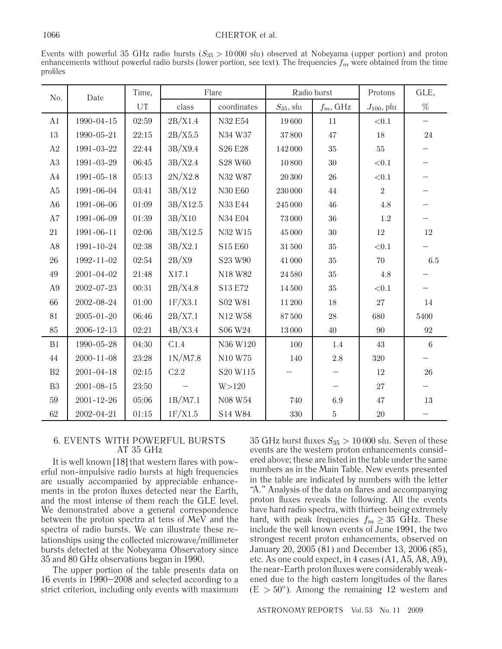#### 1066 CHERTOK et al.

Events with powerful 35 GHz radio bursts ( $S_{35} > 10000$  sfu) observed at Nobeyama (upper portion) and proton enhancements without powerful radio bursts (lower portion, see text). The frequencies  $f_m$  were obtained from the time profiles

| No.            | Date             | Time,   | Flare    |             | Radio burst    |             | Protons         | GLE,                     |
|----------------|------------------|---------|----------|-------------|----------------|-------------|-----------------|--------------------------|
|                |                  | UT      | class    | coordinates | $S_{35}$ , sfu | $f_m$ , GHz | $J_{100}$ , pfu | $\%$                     |
| A <sub>1</sub> | $1990 - 04 - 15$ | 02:59   | 2B/X1.4  | N32 E54     | 19600          | 11          | $<\!\!0.1$      | $\overline{\phantom{0}}$ |
| 13             | 1990-05-21       | 22:15   | 2B/X5.5  | N34 W37     | $37\,800$      | 47          | $18\,$          | $24\,$                   |
| A2             | 1991-03-22       | 22:44   | 3B/X9.4  | S26 E28     | 142000         | $35\,$      | $55\,$          |                          |
| A3             | 1991-03-29       | 06:45   | 3B/X2.4  | S28 W60     | 10800          | $30\,$      | $<\!\!0.1$      |                          |
| A4             | $1991 - 05 - 18$ | 05:13   | 2N/X2.8  | N32 W87     | 20 300         | 26          | $<\!\!0.1$      |                          |
| A5             | 1991-06-04       | 03:41   | 3B/X12   | N30 E60     | $230\,000$     | $44\,$      | $\,2$           |                          |
| A <sub>6</sub> | 1991-06-06       | 01:09   | 3B/X12.5 | N33 E44     | $245\,000$     | $46\,$      | $4.8\,$         |                          |
| A7             | 1991-06-09       | 01:39   | 3B/X10   | N34 E04     | $73\,000$      | $36\,$      | $1.2\,$         |                          |
| 21             | $1991 - 06 - 11$ | 02:06   | 3B/X12.5 | N32 W15     | 45 000         | $30\,$      | $12\,$          | $12\,$                   |
| A8             | $1991 - 10 - 24$ | 02:38   | 3B/X2.1  | S15 E60     | $31\,500$      | $35\,$      | $<\!\!0.1$      |                          |
| 26             | 1992-11-02       | 02:54   | 2B/X9    | S23 W90     | 41 000         | $35\,$      | 70              | $6.5\,$                  |
| 49             | $2001 - 04 - 02$ | 21:48   | X17.1    | N18 W82     | 24 580         | $35\,$      | 4.8             |                          |
| A <sub>9</sub> | 2002-07-23       | 00:31   | 2B/X4.8  | S13 E72     | 14500          | $35\,$      | ${<}0.1$        |                          |
| 66             | 2002-08-24       | 01:00   | 1F/X3.1  | S02 W81     | 11 200         | $18\,$      | 27              | $14\,$                   |
| 81             | $2005 - 01 - 20$ | 06:46   | 2B/X7.1  | N12 W58     | 87500          | $28\,$      | 680             | 5400                     |
| 85             | $2006 - 12 - 13$ | 02:21   | 4B/X3.4  | S06 W24     | 13000          | 40          | 90              | $\boldsymbol{92}$        |
| B1             | 1990-05-28       | 04:30   | C1.4     | N36 W120    | 100            | $1.4\,$     | $43\,$          | $\,6\,$                  |
| 44             | $2000 - 11 - 08$ | 23:28   | 1N/M7.8  | N10 W75     | 140            | $2.8\,$     | 320             |                          |
| B <sub>2</sub> | $2001 - 04 - 18$ | 02:15   | C2.2     | S20 W115    |                |             | 12              | $26\,$                   |
| B <sub>3</sub> | $2001 - 08 - 15$ | 23:50   |          | W > 120     |                |             | $27\,$          |                          |
| 59             | $2001 - 12 - 26$ | 05:06   | 1B/M7.1  | N08 W54     | 740            | $6.9\,$     | $47\,$          | $13\,$                   |
| 62             | 2002-04-21       | $01:15$ | 1F/X1.5  | S14 W84     | 330            | $\bf 5$     | $20\,$          |                          |

## 6. EVENTS WITH POWERFUL BURSTS AT 35 GHz

It is well known [18] that western flares with powerful non-impulsive radio bursts at high frequencies are usually accompanied by appreciable enhancements in the proton fluxes detected near the Earth, and the most intense of them reach the GLE level. We demonstrated above a general correspondence between the proton spectra at tens of MeV and the spectra of radio bursts. We can illustrate these relationships using the collected microwave/millimeter bursts detected at the Nobeyama Observatory since 35 and 80 GHz observations began in 1990.

The upper portion of the table presents data on 16 events in 1990–2008 and selected according to a strict criterion, including only events with maximum 35 GHz burst fluxes  $S_{35} > 10000$  sfu. Seven of these events are the western proton enhancements considered above; these are listed in the table under the same numbers as in the Main Table. New events presented in the table are indicated by numbers with the letter "A." Analysis of the data on flares and accompanying proton fluxes reveals the following. All the events have hard radio spectra, with thirteen being extremely hard, with peak frequencies  $f_m \geq 35$  GHz. These include the well known events of June 1991, the two strongest recent proton enhancements, observed on January 20, 2005 (81) and December 13, 2006 (85), etc. As one could expect, in 4 cases (A1, A5, A8, A9), the near-Earth proton fluxes were considerably weakened due to the high eastern longitudes of the flares  $(E > 50^{\circ})$ . Among the remaining 12 western and

ASTRONOMY REPORTS Vol. 53 No. 11 2009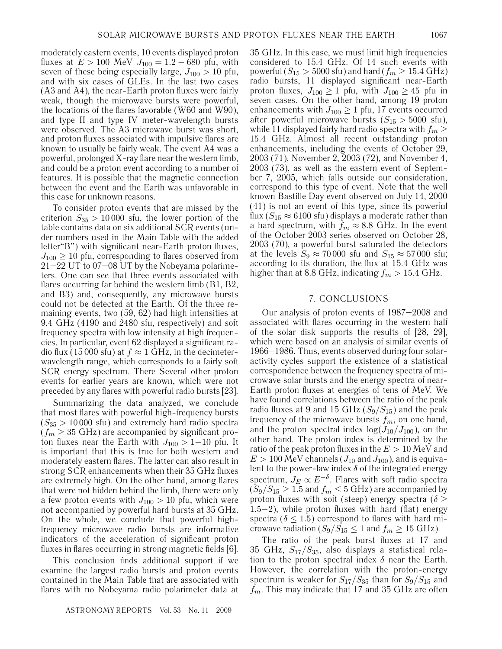moderately eastern events, 10 events displayed proton fluxes at  $E > 100$  MeV  $J_{100} = 1.2 - 680$  pfu, with seven of these being especially large,  $J_{100} > 10$  pfu, and with six cases of GLEs. In the last two cases (A3 and A4), the near-Earth proton fluxes were fairly weak, though the microwave bursts were powerful, the locations of the flares favorable (W60 and W90), and type II and type IV meter-wavelength bursts were observed. The A3 microwave burst was short, and proton fluxes associated with impulsive flares are known to usually be fairly weak. The event A4 was a powerful, prolonged X-ray flare near the western limb, and could be a proton event according to a number of features. It is possible that the magnetic connection between the event and the Earth was unfavorable in this case for unknown reasons.

To consider proton events that are missed by the criterion  $S_{35} > 10000$  sfu, the lower portion of the table contains data on six additional SCR events (under numbers used in the Main Table with the added letter"B") with significant near-Earth proton fluxes,  $J_{100} \geq 10$  pfu, corresponding to flares observed from 21–22 UT to 07–08 UT by the Nobeyama polarimeters. One can see that three events associated with flares occurring far behind the western limb (B1, B2, and В3) and, consequently, any microwave bursts could not be detected at the Earth. Of the three remaining events, two (59, 62) had high intensities at 9.4 GHz (4190 and 2480 sfu, respectively) and soft frequency spectra with low intensity at high frequencies. In particular, event 62 displayed a significant radio flux (15 000 sfu) at  $f \approx 1$  GHz, in the decimeterwavelength range, which corresponds to a fairly soft SCR energy spectrum. There Several other proton events for earlier years are known, which were not preceded by any flares with powerful radio bursts [23].

Summarizing the data analyzed, we conclude that most flares with powerful high-frequency bursts  $(S_{35} > 10000 \text{ s}$ fu) and extremely hard radio spectra  $(f_m \geq 35 \text{ GHz})$  are accompanied by significant proton fluxes near the Earth with  $J_{100} > 1-10$  pfu. It is important that this is true for both western and moderately eastern flares. The latter can also result in strong SCR enhancements when their 35 GHz fluxes are extremely high. On the other hand, among flares that were not hidden behind the limb, there were only a few proton events with  $J_{100} > 10$  pfu, which were not accompanied by powerful hard bursts at 35 GHz. On the whole, we conclude that powerful highfrequency microwave radio bursts are informative indicators of the acceleration of significant proton fluxes in flares occurring in strong magnetic fields [6].

This conclusion finds additional support if we examine the largest radio bursts and proton events contained in the Main Table that are associated with flares with no Nobeyama radio polarimeter data at

35 GHz. In this case, we must limit high frequencies considered to 15.4 GHz. Of 14 such events with powerful ( $S_{15} > 5000$  sfu) and hard ( $f_m \ge 15.4$  GHz) radio bursts, 11 displayed significant near-Earth proton fluxes,  $J_{100} \geq 1$  pfu, with  $J_{100} \geq 45$  pfu in seven cases. On the other hand, among 19 proton enhancements with  $J_{100} \geq 1$  pfu, 17 events occurred after powerful microwave bursts  $(S_{15} > 5000 \text{ s}$ fu), while 11 displayed fairly hard radio spectra with  $f_m \geq$ 15.4 GHz. Almost all recent outstanding proton enhancements, including the events of October 29, 2003 (71), November 2, 2003 (72), and November 4, 2003 (73), as well as the eastern event of September 7, 2005, which falls outside our consideration, correspond to this type of event. Note that the well known Bastille Day event observed on July 14, 2000 (41) is not an event of this type, since its powerful flux ( $S_{15} \approx 6100$  sfu) displays a moderate rather than a hard spectrum, with  $f_m \approx 8.8$  GHz. In the event of the October 2003 series observed on October 28, 2003 (70), a powerful burst saturated the detectors at the levels  $S_9 \approx 70000$  sfu and  $S_{15} \approx 57000$  sfu; according to its duration, the flux at 15.4 GHz was higher than at 8.8 GHz, indicating  $f_m > 15.4$  GHz.

### 7. CONCLUSIONS

Our analysis of proton events of 1987–2008 and associated with flares occurring in the western half of the solar disk supports the results of [28, 29], which were based on an analysis of similar events of 1966–1986. Thus, events observed during four solaractivity cycles support the existence of a statistical correspondence between the frequency spectra of microwave solar bursts and the energy spectra of near-Earth proton fluxes at energies of tens of MeV. We have found correlations between the ratio of the peak radio fluxes at 9 and 15 GHz  $(S_9/S_{15})$  and the peak frequency of the microwave bursts  $f_m$ , on one hand, and the proton spectral index  $\log(J_{10}/J_{100})$ , on the other hand. The proton index is determined by the ratio of the peak proton fluxes in the  $E > 10$  MeV and  $E > 100$  MeV channels ( $J_{10}$  and  $J_{100}$ ), and is equivalent to the power-law index  $\delta$  of the integrated energy spectrum,  $J_E \propto E^{-\delta}$ . Flares with soft radio spectra  $(S_9/S_{15} \geq 1.5$  and  $f_m \leq 5$  GHz) are accompanied by proton fluxes with soft (steep) energy spectra ( $\delta \geq$ 1.5−2), while proton fluxes with hard (flat) energy spectra ( $\delta \leq 1.5$ ) correspond to flares with hard microwave radiation  $(S_9/S_{15} \leq 1$  and  $f_m \geq 15$  GHz).

The ratio of the peak burst fluxes at 17 and 35 GHz,  $S_{17}/S_{35}$ , also displays a statistical relation to the proton spectral index  $\delta$  near the Earth. However, the correlation with the proton-energy spectrum is weaker for  $S_{17}/S_{35}$  than for  $S_9/S_{15}$  and  $f_m$ . This may indicate that 17 and 35 GHz are often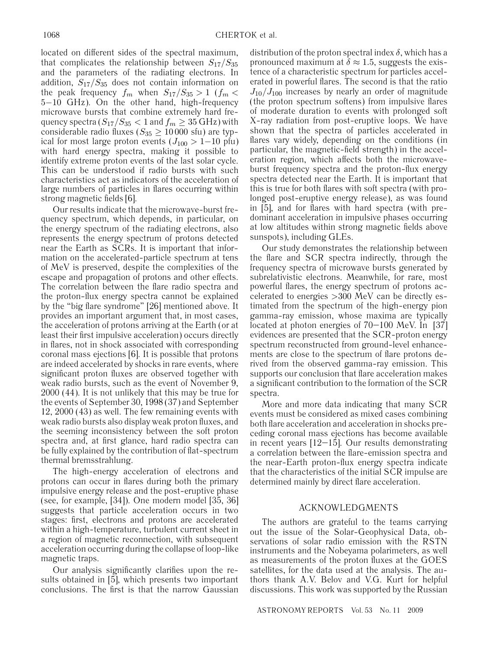located on different sides of the spectral maximum, that complicates the relationship between  $S_{17}/S_{35}$ and the parameters of the radiating electrons. In addition,  $S_{17}/S_{35}$  does not contain information on the peak frequency  $f_m$  when  $S_{17}/S_{35} > 1$  ( $f_m <$ 5−10 GHz). On the other hand, high-frequency microwave bursts that combine extremely hard frequency spectra  $(S_{17}/S_{35} < 1$  and  $f_m \geq 35$  GHz) with considerable radio fluxes ( $S_{35} \ge 10000$  sfu) are typical for most large proton events  $(J_{100} > 1-10)$  pfu) with hard energy spectra, making it possible to identify extreme proton events of the last solar cycle. This can be understood if radio bursts with such characteristics act as indicators of the acceleration of large numbers of particles in flares occurring within strong magnetic fields [6].

Our results indicate that the microwave-burst frequency spectrum, which depends, in particular, on the energy spectrum of the radiating electrons, also represents the energy spectrum of protons detected near the Earth as SCRs. It is important that information on the accelerated-particle spectrum at tens of MeV is preserved, despite the complexities of the escape and propagation of protons and other effects. The correlation between the flare radio spectra and the proton-flux energy spectra cannot be explained by the "big flare syndrome" [26] mentioned above. It provides an important argument that, in most cases, the acceleration of protons arriving at the Earth (or at least their first impulsive acceleration) occurs directly in flares, not in shock associated with corresponding coronal mass ejections [6]. It is possible that protons are indeed accelerated by shocks in rare events, where significant proton fluxes are observed together with weak radio bursts, such as the event of November 9, 2000 (44). It is not unlikely that this may be true for the events of September 30, 1998 (37) and September 12, 2000 (43) as well. The few remaining events with weak radio bursts also display weak proton fluxes, and the seeming inconsistency between the soft proton spectra and, at first glance, hard radio spectra can be fully explained by the contribution of flat-spectrum thermal bremsstrahlung.

The high-energy acceleration of electrons and protons can occur in flares during both the primary impulsive energy release and the post-eruptive phase (see, for example, [34]). One modern model [35, 36] suggests that particle acceleration occurs in two stages: first, electrons and protons are accelerated within a high-temperature, turbulent current sheet in a region of magnetic reconnection, with subsequent acceleration occurring during the collapse of loop-like magnetic traps.

Our analysis significantly clarifies upon the results obtained in [5], which presents two important conclusions. The first is that the narrow Gaussian

distribution of the proton spectral index  $\delta$ , which has a pronounced maximum at  $\delta \approx 1.5$ , suggests the existence of a characteristic spectrum for particles accelerated in powerful flares. The second is that the ratio  $J_{10}/J_{100}$  increases by nearly an order of magnitude (the proton spectrum softens) from impulsive flares of moderate duration to events with prolonged soft X-ray radiation from post-eruptive loops. We have shown that the spectra of particles accelerated in flares vary widely, depending on the conditions (in particular, the magnetic-field strength) in the acceleration region, which affects both the microwaveburst frequency spectra and the proton-flux energy spectra detected near the Earth. It is important that this is true for both flares with soft spectra (with prolonged post-eruptive energy release), as was found in [5], and for flares with hard spectra (with predominant acceleration in impulsive phases occurring at low altitudes within strong magnetic fields above sunspots), including GLEs.

Our study demonstrates the relationship between the flare and SCR spectra indirectly, through the frequency spectra of microwave bursts generated by subrelativistic electrons. Meanwhile, for rare, most powerful flares, the energy spectrum of protons accelerated to energies >300 MeV can be directly estimated from the spectrum of the high-energy pion gamma-ray emission, whose maxima are typically located at photon energies of 70–100 MeV. In [37] evidences are presented that the SCR-proton energy spectrum reconstructed from ground-level enhancements are close to the spectrum of flare protons derived from the observed gamma-ray emission. This supports our conclusion that flare acceleration makes a significant contribution to the formation of the SCR spectra.

More and more data indicating that many SCR events must be considered as mixed cases combining both flare acceleration and acceleration in shocks preceding coronal mass ejections has become available in recent years [12–15]. Our results demonstrating a correlation between the flare-emission spectra and the near-Earth proton-flux energy spectra indicate that the characteristics of the initial SCR impulse are determined mainly by direct flare acceleration.

#### ACKNOWLEDGMENTS

The authors are grateful to the teams carrying out the issue of the Solar-Geophysical Data, observations of solar radio emission with the RSTN instruments and the Nobeyama polarimeters, as well as measurements of the proton fluxes at the GOES satellites, for the data used at the analysis. The authors thank A.V. Belov and V.G. Kurt for helpful discussions. This work was supported by the Russian